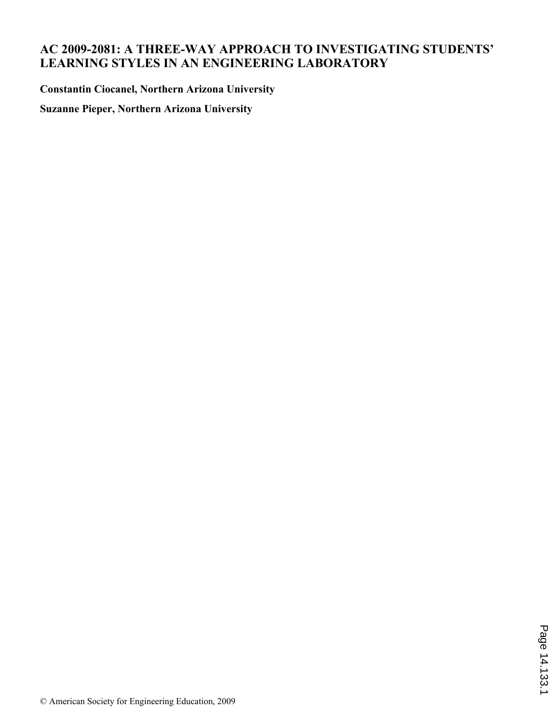# **AC 2009-2081: A THREE-WAY APPROACH TO INVESTIGATING STUDENTS' LEARNING STYLES IN AN ENGINEERING LABORATORY**

**Constantin Ciocanel, Northern Arizona University**

**Suzanne Pieper, Northern Arizona University**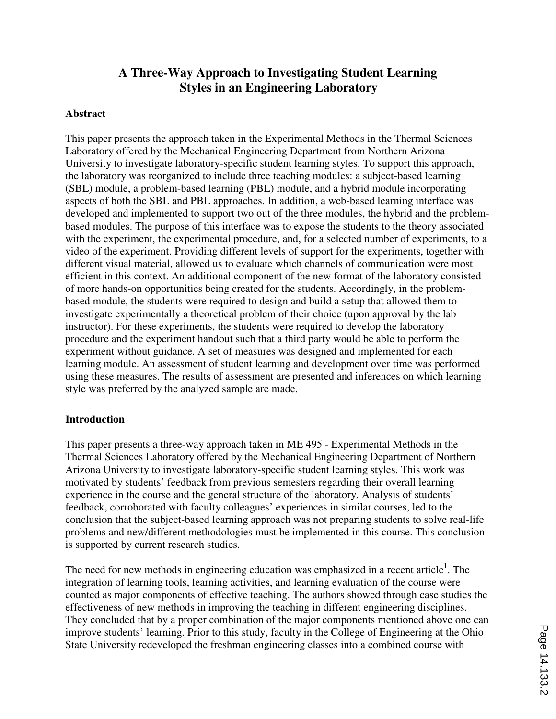# **A Three-Way Approach to Investigating Student Learning Styles in an Engineering Laboratory**

### **Abstract**

This paper presents the approach taken in the Experimental Methods in the Thermal Sciences Laboratory offered by the Mechanical Engineering Department from Northern Arizona University to investigate laboratory-specific student learning styles. To support this approach, the laboratory was reorganized to include three teaching modules: a subject-based learning (SBL) module, a problem-based learning (PBL) module, and a hybrid module incorporating aspects of both the SBL and PBL approaches. In addition, a web-based learning interface was developed and implemented to support two out of the three modules, the hybrid and the problembased modules. The purpose of this interface was to expose the students to the theory associated with the experiment, the experimental procedure, and, for a selected number of experiments, to a video of the experiment. Providing different levels of support for the experiments, together with different visual material, allowed us to evaluate which channels of communication were most efficient in this context. An additional component of the new format of the laboratory consisted of more hands-on opportunities being created for the students. Accordingly, in the problembased module, the students were required to design and build a setup that allowed them to investigate experimentally a theoretical problem of their choice (upon approval by the lab instructor). For these experiments, the students were required to develop the laboratory procedure and the experiment handout such that a third party would be able to perform the experiment without guidance. A set of measures was designed and implemented for each learning module. An assessment of student learning and development over time was performed using these measures. The results of assessment are presented and inferences on which learning style was preferred by the analyzed sample are made.

### **Introduction**

This paper presents a three-way approach taken in ME 495 - Experimental Methods in the Thermal Sciences Laboratory offered by the Mechanical Engineering Department of Northern Arizona University to investigate laboratory-specific student learning styles. This work was motivated by students' feedback from previous semesters regarding their overall learning experience in the course and the general structure of the laboratory. Analysis of students' feedback, corroborated with faculty colleagues' experiences in similar courses, led to the conclusion that the subject-based learning approach was not preparing students to solve real-life problems and new/different methodologies must be implemented in this course. This conclusion is supported by current research studies.

The need for new methods in engineering education was emphasized in a recent article<sup>1</sup>. The integration of learning tools, learning activities, and learning evaluation of the course were counted as major components of effective teaching. The authors showed through case studies the effectiveness of new methods in improving the teaching in different engineering disciplines. They concluded that by a proper combination of the major components mentioned above one can improve students' learning. Prior to this study, faculty in the College of Engineering at the Ohio State University redeveloped the freshman engineering classes into a combined course with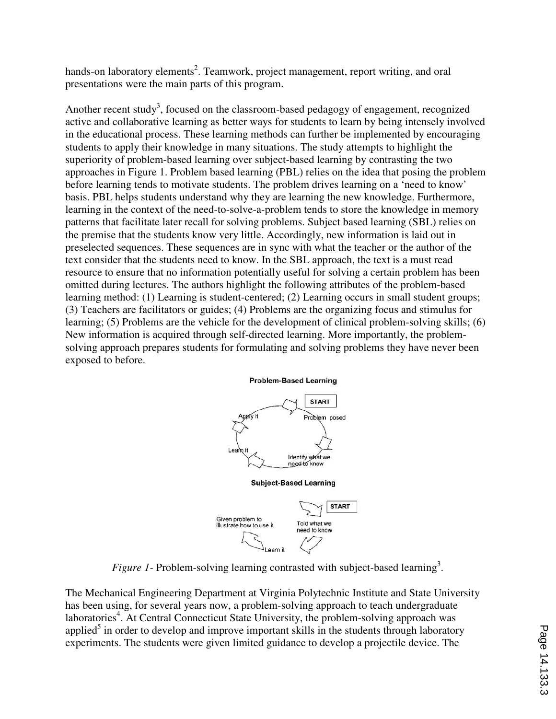hands-on laboratory elements<sup>2</sup>. Teamwork, project management, report writing, and oral presentations were the main parts of this program.

Another recent study<sup>3</sup>, focused on the classroom-based pedagogy of engagement, recognized active and collaborative learning as better ways for students to learn by being intensely involved in the educational process. These learning methods can further be implemented by encouraging students to apply their knowledge in many situations. The study attempts to highlight the superiority of problem-based learning over subject-based learning by contrasting the two approaches in Figure 1. Problem based learning (PBL) relies on the idea that posing the problem before learning tends to motivate students. The problem drives learning on a 'need to know' basis. PBL helps students understand why they are learning the new knowledge. Furthermore, learning in the context of the need-to-solve-a-problem tends to store the knowledge in memory patterns that facilitate later recall for solving problems. Subject based learning (SBL) relies on the premise that the students know very little. Accordingly, new information is laid out in preselected sequences. These sequences are in sync with what the teacher or the author of the text consider that the students need to know. In the SBL approach, the text is a must read resource to ensure that no information potentially useful for solving a certain problem has been omitted during lectures. The authors highlight the following attributes of the problem-based learning method: (1) Learning is student-centered; (2) Learning occurs in small student groups; (3) Teachers are facilitators or guides; (4) Problems are the organizing focus and stimulus for learning; (5) Problems are the vehicle for the development of clinical problem-solving skills; (6) New information is acquired through self-directed learning. More importantly, the problemsolving approach prepares students for formulating and solving problems they have never been exposed to before.



#### **Problem-Based Learning**

*Figure 1*- Problem-solving learning contrasted with subject-based learning<sup>3</sup>.

The Mechanical Engineering Department at Virginia Polytechnic Institute and State University has been using, for several years now, a problem-solving approach to teach undergraduate laboratories<sup>4</sup>. At Central Connecticut State University, the problem-solving approach was applied<sup>5</sup> in order to develop and improve important skills in the students through laboratory experiments. The students were given limited guidance to develop a projectile device. The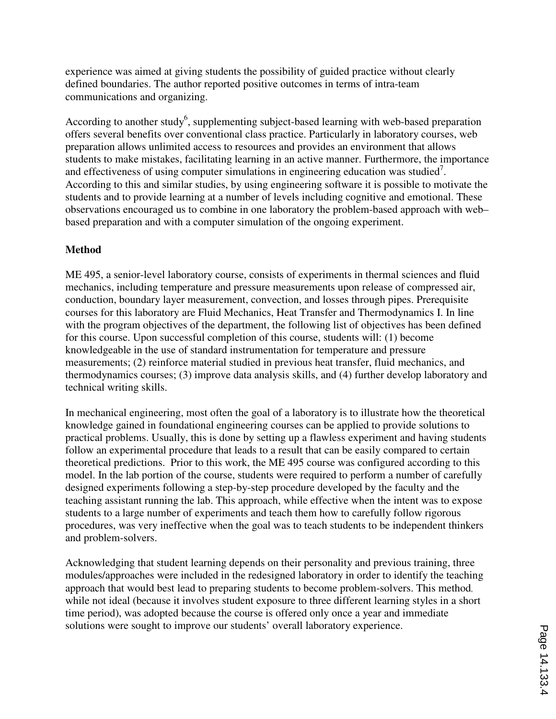experience was aimed at giving students the possibility of guided practice without clearly defined boundaries. The author reported positive outcomes in terms of intra-team communications and organizing.

According to another study<sup>6</sup>, supplementing subject-based learning with web-based preparation offers several benefits over conventional class practice. Particularly in laboratory courses, web preparation allows unlimited access to resources and provides an environment that allows students to make mistakes, facilitating learning in an active manner. Furthermore, the importance and effectiveness of using computer simulations in engineering education was studied<sup>7</sup>. According to this and similar studies, by using engineering software it is possible to motivate the students and to provide learning at a number of levels including cognitive and emotional. These observations encouraged us to combine in one laboratory the problem-based approach with web– based preparation and with a computer simulation of the ongoing experiment.

## **Method**

ME 495, a senior-level laboratory course, consists of experiments in thermal sciences and fluid mechanics, including temperature and pressure measurements upon release of compressed air, conduction, boundary layer measurement, convection, and losses through pipes. Prerequisite courses for this laboratory are Fluid Mechanics, Heat Transfer and Thermodynamics I. In line with the program objectives of the department, the following list of objectives has been defined for this course. Upon successful completion of this course, students will: (1) become knowledgeable in the use of standard instrumentation for temperature and pressure measurements; (2) reinforce material studied in previous heat transfer, fluid mechanics, and thermodynamics courses; (3) improve data analysis skills, and (4) further develop laboratory and technical writing skills.

In mechanical engineering, most often the goal of a laboratory is to illustrate how the theoretical knowledge gained in foundational engineering courses can be applied to provide solutions to practical problems. Usually, this is done by setting up a flawless experiment and having students follow an experimental procedure that leads to a result that can be easily compared to certain theoretical predictions. Prior to this work, the ME 495 course was configured according to this model. In the lab portion of the course, students were required to perform a number of carefully designed experiments following a step-by-step procedure developed by the faculty and the teaching assistant running the lab. This approach, while effective when the intent was to expose students to a large number of experiments and teach them how to carefully follow rigorous procedures, was very ineffective when the goal was to teach students to be independent thinkers and problem-solvers.

Acknowledging that student learning depends on their personality and previous training, three modules/approaches were included in the redesigned laboratory in order to identify the teaching approach that would best lead to preparing students to become problem-solvers. This method, while not ideal (because it involves student exposure to three different learning styles in a short time period), was adopted because the course is offered only once a year and immediate solutions were sought to improve our students' overall laboratory experience.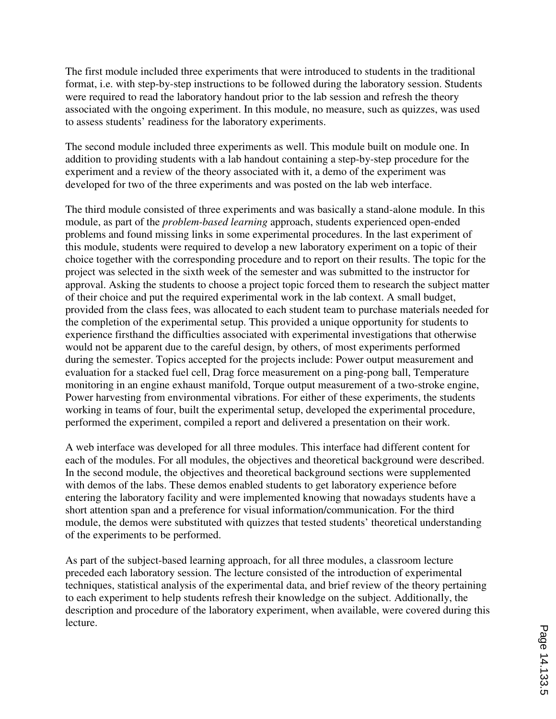The first module included three experiments that were introduced to students in the traditional format, i.e. with step-by-step instructions to be followed during the laboratory session. Students were required to read the laboratory handout prior to the lab session and refresh the theory associated with the ongoing experiment. In this module, no measure, such as quizzes, was used to assess students' readiness for the laboratory experiments.

The second module included three experiments as well. This module built on module one. In addition to providing students with a lab handout containing a step-by-step procedure for the experiment and a review of the theory associated with it, a demo of the experiment was developed for two of the three experiments and was posted on the lab web interface.

The third module consisted of three experiments and was basically a stand-alone module. In this module, as part of the *problem-based learning* approach, students experienced open-ended problems and found missing links in some experimental procedures. In the last experiment of this module, students were required to develop a new laboratory experiment on a topic of their choice together with the corresponding procedure and to report on their results. The topic for the project was selected in the sixth week of the semester and was submitted to the instructor for approval. Asking the students to choose a project topic forced them to research the subject matter of their choice and put the required experimental work in the lab context. A small budget, provided from the class fees, was allocated to each student team to purchase materials needed for the completion of the experimental setup. This provided a unique opportunity for students to experience firsthand the difficulties associated with experimental investigations that otherwise would not be apparent due to the careful design, by others, of most experiments performed during the semester. Topics accepted for the projects include: Power output measurement and evaluation for a stacked fuel cell, Drag force measurement on a ping-pong ball, Temperature monitoring in an engine exhaust manifold, Torque output measurement of a two-stroke engine, Power harvesting from environmental vibrations. For either of these experiments, the students working in teams of four, built the experimental setup, developed the experimental procedure, performed the experiment, compiled a report and delivered a presentation on their work.

A web interface was developed for all three modules. This interface had different content for each of the modules. For all modules, the objectives and theoretical background were described. In the second module, the objectives and theoretical background sections were supplemented with demos of the labs. These demos enabled students to get laboratory experience before entering the laboratory facility and were implemented knowing that nowadays students have a short attention span and a preference for visual information/communication. For the third module, the demos were substituted with quizzes that tested students' theoretical understanding of the experiments to be performed.

As part of the subject-based learning approach, for all three modules, a classroom lecture preceded each laboratory session. The lecture consisted of the introduction of experimental techniques, statistical analysis of the experimental data, and brief review of the theory pertaining to each experiment to help students refresh their knowledge on the subject. Additionally, the description and procedure of the laboratory experiment, when available, were covered during this lecture.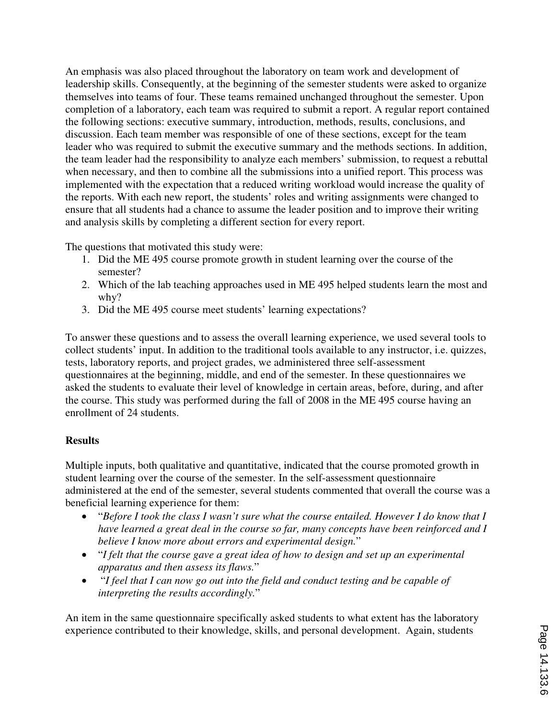An emphasis was also placed throughout the laboratory on team work and development of leadership skills. Consequently, at the beginning of the semester students were asked to organize themselves into teams of four. These teams remained unchanged throughout the semester. Upon completion of a laboratory, each team was required to submit a report. A regular report contained the following sections: executive summary, introduction, methods, results, conclusions, and discussion. Each team member was responsible of one of these sections, except for the team leader who was required to submit the executive summary and the methods sections. In addition, the team leader had the responsibility to analyze each members' submission, to request a rebuttal when necessary, and then to combine all the submissions into a unified report. This process was implemented with the expectation that a reduced writing workload would increase the quality of the reports. With each new report, the students' roles and writing assignments were changed to ensure that all students had a chance to assume the leader position and to improve their writing and analysis skills by completing a different section for every report.

The questions that motivated this study were:

- 1. Did the ME 495 course promote growth in student learning over the course of the semester?
- 2. Which of the lab teaching approaches used in ME 495 helped students learn the most and why?
- 3. Did the ME 495 course meet students' learning expectations?

To answer these questions and to assess the overall learning experience, we used several tools to collect students' input. In addition to the traditional tools available to any instructor, i.e. quizzes, tests, laboratory reports, and project grades, we administered three self-assessment questionnaires at the beginning, middle, and end of the semester. In these questionnaires we asked the students to evaluate their level of knowledge in certain areas, before, during, and after the course. This study was performed during the fall of 2008 in the ME 495 course having an enrollment of 24 students.

## **Results**

Multiple inputs, both qualitative and quantitative, indicated that the course promoted growth in student learning over the course of the semester. In the self-assessment questionnaire administered at the end of the semester, several students commented that overall the course was a beneficial learning experience for them:

- "*Before I took the class I wasn't sure what the course entailed. However I do know that I have learned a great deal in the course so far, many concepts have been reinforced and I believe I know more about errors and experimental design.*"
- "*I felt that the course gave a great idea of how to design and set up an experimental apparatus and then assess its flaws.*"
- "*I feel that I can now go out into the field and conduct testing and be capable of interpreting the results accordingly.*"

An item in the same questionnaire specifically asked students to what extent has the laboratory experience contributed to their knowledge, skills, and personal development. Again, students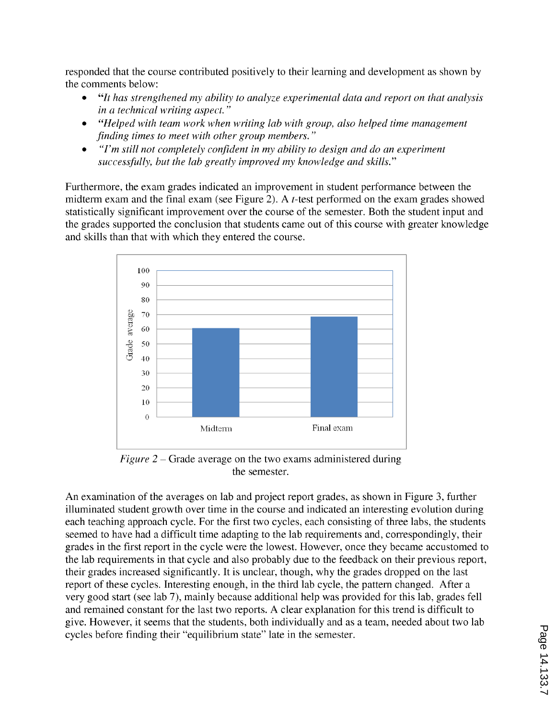responded that the course contributed positively to their learning and development as shown by the comments below:

- "It has strengthened my ability to analyze experimental data and report on that analysis in a technical writing aspect."
- "Helped with team work when writing lab with group, also helped time management finding times to meet with other group members."
- "I'm still not completely confident in my ability to design and do an experiment  $\bullet$ successfully, but the lab greatly improved my knowledge and skills."

Furthermore, the exam grades indicated an improvement in student performance between the midterm exam and the final exam (see Figure 2). A  $t$ -test performed on the exam grades showed statistically significant improvement over the course of the semester. Both the student input and the grades supported the conclusion that students came out of this course with greater knowledge and skills than that with which they entered the course.



Figure  $2$  – Grade average on the two exams administered during the semester.

An examination of the averages on lab and project report grades, as shown in Figure 3, further illuminated student growth over time in the course and indicated an interesting evolution during each teaching approach cycle. For the first two cycles, each consisting of three labs, the students seemed to have had a difficult time adapting to the lab requirements and, correspondingly, their grades in the first report in the cycle were the lowest. However, once they became accustomed to the lab requirements in that cycle and also probably due to the feedback on their previous report, their grades increased significantly. It is unclear, though, why the grades dropped on the last report of these cycles. Interesting enough, in the third lab cycle, the pattern changed. After a very good start (see lab 7), mainly because additional help was provided for this lab, grades fell and remained constant for the last two reports. A clear explanation for this trend is difficult to give. However, it seems that the students, both individually and as a team, needed about two lab cycles before finding their "equilibrium state" late in the semester.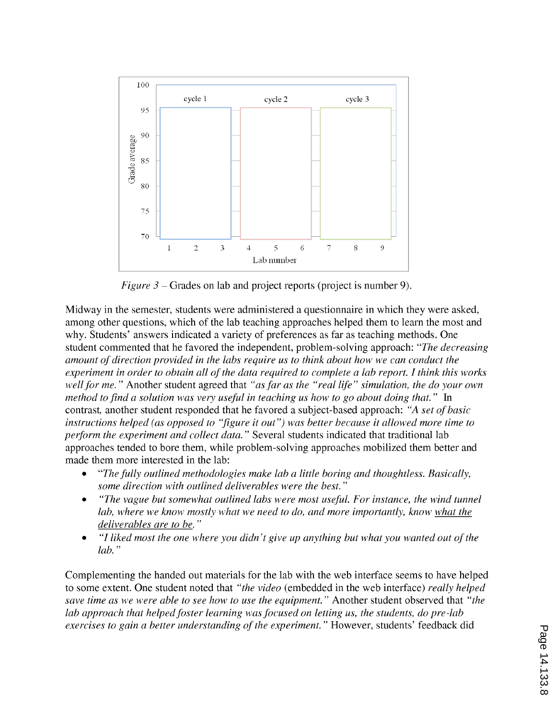

*Figure 3* – Grades on lab and project reports (project is number 9).

Midway in the semester, students were administered a questionnaire in which they were asked, among other questions, which of the lab teaching approaches helped them to learn the most and why. Students' answers indicated a variety of preferences as far as teaching methods. One student commented that he favored the independent, problem-solving approach: "The decreasing amount of direction provided in the labs require us to think about how we can conduct the experiment in order to obtain all of the data required to complete a lab report. I think this works well for me." Another student agreed that "as far as the "real life" simulation, the do your own method to find a solution was very useful in teaching us how to go about doing that." In contrast, another student responded that he favored a subject-based approach: "A set of basic instructions helped (as opposed to "figure it out") was better because it allowed more time to perform the experiment and collect data." Several students indicated that traditional lab approaches tended to bore them, while problem-solving approaches mobilized them better and made them more interested in the lab:

- "The fully outlined methodologies make lab a little boring and thoughtless. Basically, some direction with outlined deliverables were the best."
- "The vague but somewhat outlined labs were most useful. For instance, the wind tunnel lab, where we know mostly what we need to do, and more importantly, know what the deliverables are to be."
- "I liked most the one where you didn't give up anything but what you wanted out of the  $lab.$ "

Complementing the handed out materials for the lab with the web interface seems to have helped to some extent. One student noted that "the video (embedded in the web interface) really helped save time as we were able to see how to use the equipment." Another student observed that "the lab approach that helped foster learning was focused on letting us, the students, do pre-lab exercises to gain a better understanding of the experiment." However, students' feedback did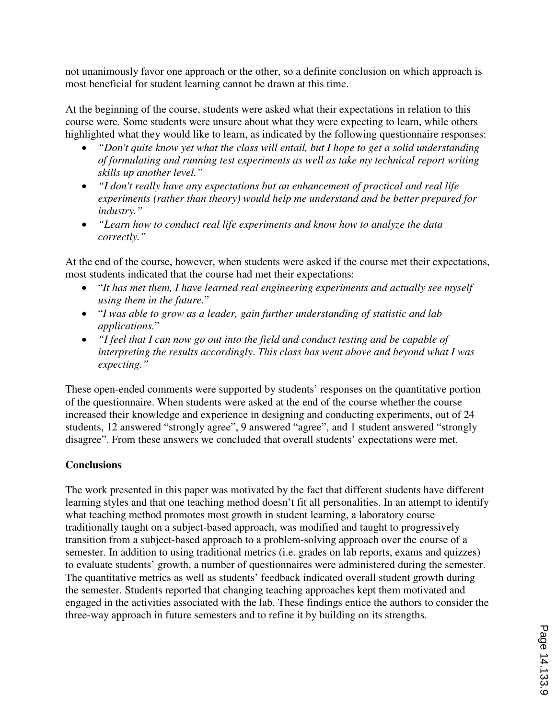not unanimously favor one approach or the other, so a definite conclusion on which approach is most beneficial for student learning cannot be drawn at this time.

At the beginning of the course, students were asked what their expectations in relation to this course were. Some students were unsure about what they were expecting to learn, while others highlighted what they would like to learn, as indicated by the following questionnaire responses:

- *"Don't quite know yet what the class will entail, but I hope to get a solid understanding of formulating and running test experiments as well as take my technical report writing skills up another level."*
- *"I don't really have any expectations but an enhancement of practical and real life experiments (rather than theory) would help me understand and be better prepared for industry."*
- *"Learn how to conduct real life experiments and know how to analyze the data correctly."*

At the end of the course, however, when students were asked if the course met their expectations, most students indicated that the course had met their expectations:

- "*It has met them, I have learned real engineering experiments and actually see myself using them in the future.*"
- "*I was able to grow as a leader, gain further understanding of statistic and lab applications.*"
- *"I feel that I can now go out into the field and conduct testing and be capable of interpreting the results accordingly*. *This class has went above and beyond what I was expecting."*

These open-ended comments were supported by students' responses on the quantitative portion of the questionnaire. When students were asked at the end of the course whether the course increased their knowledge and experience in designing and conducting experiments, out of 24 students, 12 answered "strongly agree", 9 answered "agree", and 1 student answered "strongly disagree". From these answers we concluded that overall students' expectations were met.

## **Conclusions**

The work presented in this paper was motivated by the fact that different students have different learning styles and that one teaching method doesn't fit all personalities. In an attempt to identify what teaching method promotes most growth in student learning, a laboratory course traditionally taught on a subject-based approach, was modified and taught to progressively transition from a subject-based approach to a problem-solving approach over the course of a semester. In addition to using traditional metrics (i.e. grades on lab reports, exams and quizzes) to evaluate students' growth, a number of questionnaires were administered during the semester. The quantitative metrics as well as students' feedback indicated overall student growth during the semester. Students reported that changing teaching approaches kept them motivated and engaged in the activities associated with the lab. These findings entice the authors to consider the three-way approach in future semesters and to refine it by building on its strengths.